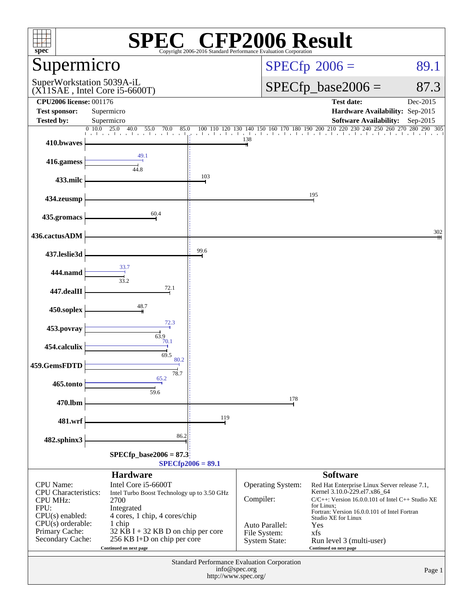| <sup>2®</sup> CFP2006 Result<br>$spec^*$<br>Copyright 2006-2016 Standard Performance Evaluation Corporation     |                                                                                                                                     |                     |                                                        |                                                                                                                                                                                                                       |                         |  |  |
|-----------------------------------------------------------------------------------------------------------------|-------------------------------------------------------------------------------------------------------------------------------------|---------------------|--------------------------------------------------------|-----------------------------------------------------------------------------------------------------------------------------------------------------------------------------------------------------------------------|-------------------------|--|--|
| Supermicro                                                                                                      |                                                                                                                                     |                     |                                                        | $SPECfp^{\circ}2006 =$                                                                                                                                                                                                | 89.1                    |  |  |
| SuperWorkstation 5039A-iL<br>$(X11SAE$ , Intel Core i5-6600T)                                                   |                                                                                                                                     |                     |                                                        | $SPECfp\_base2006 =$                                                                                                                                                                                                  | 87.3                    |  |  |
| <b>CPU2006 license: 001176</b><br><b>Test sponsor:</b>                                                          | Supermicro                                                                                                                          |                     |                                                        | <b>Test date:</b><br>Hardware Availability: Sep-2015                                                                                                                                                                  | Dec-2015                |  |  |
| <b>Tested by:</b>                                                                                               | Supermicro<br>0, 10.0<br>25.0                                                                                                       |                     |                                                        | <b>Software Availability:</b><br>240<br>250                                                                                                                                                                           | Sep-2015<br>280 290 305 |  |  |
| 410.bwaves                                                                                                      | 40.0<br>55.0<br>70.0<br>85.0                                                                                                        | 100 110<br>120      | 140<br>150<br>130<br>138                               | 160 170 180 190 200 210 220 230<br>260                                                                                                                                                                                | 270                     |  |  |
| 416.gamess                                                                                                      | 49.1<br>44.8                                                                                                                        |                     |                                                        |                                                                                                                                                                                                                       |                         |  |  |
| 433.milc                                                                                                        |                                                                                                                                     | 103                 |                                                        |                                                                                                                                                                                                                       |                         |  |  |
| 434.zeusmp                                                                                                      |                                                                                                                                     |                     |                                                        | 195                                                                                                                                                                                                                   |                         |  |  |
| 435.gromacs                                                                                                     | 60.4                                                                                                                                |                     |                                                        |                                                                                                                                                                                                                       |                         |  |  |
| 436.cactusADM                                                                                                   |                                                                                                                                     |                     |                                                        |                                                                                                                                                                                                                       | 302                     |  |  |
| 437.leslie3d                                                                                                    |                                                                                                                                     | 99.6                |                                                        |                                                                                                                                                                                                                       |                         |  |  |
| 444.namd                                                                                                        | 33.7<br>33.2                                                                                                                        |                     |                                                        |                                                                                                                                                                                                                       |                         |  |  |
| 447.dealII                                                                                                      | 72.1                                                                                                                                |                     |                                                        |                                                                                                                                                                                                                       |                         |  |  |
| 450.soplex                                                                                                      | 48.7                                                                                                                                |                     |                                                        |                                                                                                                                                                                                                       |                         |  |  |
| 453.povray                                                                                                      | 72.3                                                                                                                                |                     |                                                        |                                                                                                                                                                                                                       |                         |  |  |
| 454.calculix                                                                                                    | 63.9<br>70.1                                                                                                                        |                     |                                                        |                                                                                                                                                                                                                       |                         |  |  |
| 459.GemsFDTD                                                                                                    | 69.5<br>80.2                                                                                                                        |                     |                                                        |                                                                                                                                                                                                                       |                         |  |  |
| 465.tonto                                                                                                       | 78.7<br>65.2                                                                                                                        |                     |                                                        |                                                                                                                                                                                                                       |                         |  |  |
| 470.lbm                                                                                                         | 59.6                                                                                                                                |                     | 178                                                    |                                                                                                                                                                                                                       |                         |  |  |
| 481.wrf                                                                                                         |                                                                                                                                     | 119                 |                                                        |                                                                                                                                                                                                                       |                         |  |  |
| 482.sphinx3                                                                                                     | 86.2                                                                                                                                |                     |                                                        |                                                                                                                                                                                                                       |                         |  |  |
|                                                                                                                 | $SPECfp\_base2006 = 87.3$                                                                                                           | $SPECfp2006 = 89.1$ |                                                        |                                                                                                                                                                                                                       |                         |  |  |
|                                                                                                                 | <b>Hardware</b>                                                                                                                     |                     |                                                        | <b>Software</b>                                                                                                                                                                                                       |                         |  |  |
| CPU Name:<br><b>CPU</b> Characteristics:<br><b>CPU MHz:</b><br>FPU:<br>$CPU(s)$ enabled:<br>$CPU(s)$ orderable: | Intel Core i5-6600T<br>Intel Turbo Boost Technology up to 3.50 GHz<br>2700<br>Integrated<br>4 cores, 1 chip, 4 cores/chip<br>1 chip |                     | Operating System:<br>Compiler:                         | Red Hat Enterprise Linux Server release 7.1,<br>Kernel 3.10.0-229.el7.x86_64<br>C/C++: Version 16.0.0.101 of Intel C++ Studio XE<br>for Linux:<br>Fortran: Version 16.0.0.101 of Intel Fortran<br>Studio XE for Linux |                         |  |  |
| Primary Cache:<br>Secondary Cache:                                                                              | $32$ KB I + 32 KB D on chip per core<br>256 KB I+D on chip per core<br>Continued on next page                                       |                     | Auto Parallel:<br>File System:<br><b>System State:</b> | Yes<br>xfs<br>Run level 3 (multi-user)<br>Continued on next page                                                                                                                                                      |                         |  |  |
| Standard Performance Evaluation Corporation<br>info@spec.org<br>Page 1<br>http://www.spec.org/                  |                                                                                                                                     |                     |                                                        |                                                                                                                                                                                                                       |                         |  |  |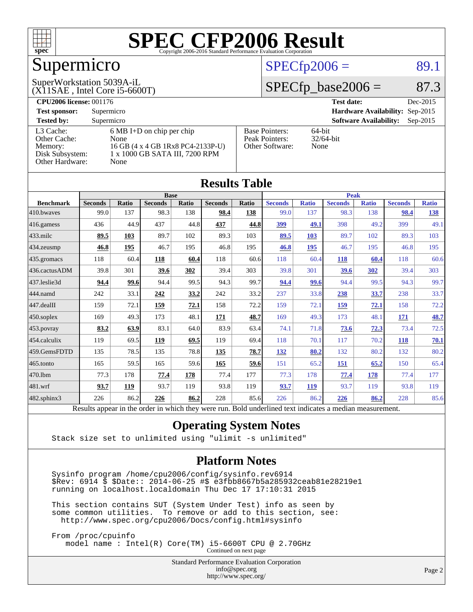

# Supermicro

#### (X11SAE , Intel Core i5-6600T) SuperWorkstation 5039A-iL

### $SPECTp2006 = 89.1$

## $SPECTp\_base2006 = 87.3$

| <b>CPU2006 license: 001176</b> |                                     |                       | <b>Test date:</b><br>Dec-2015               |
|--------------------------------|-------------------------------------|-----------------------|---------------------------------------------|
| <b>Test sponsor:</b>           | Supermicro                          |                       | Hardware Availability: Sep-2015             |
| <b>Tested by:</b>              | Supermicro                          |                       | <b>Software Availability:</b><br>$Sep-2015$ |
| L3 Cache:                      | $6 \text{ MB I+D}$ on chip per chip | <b>Base Pointers:</b> | $64$ -bit                                   |
| Other Cache:                   | None                                | Peak Pointers:        | $32/64$ -bit                                |
| Memory:                        | 16 GB (4 x 4 GB 1Rx8 PC4-2133P-U)   | Other Software:       | None                                        |
| Disk Subsystem:                | 1 x 1000 GB SATA III, 7200 RPM      |                       |                                             |
| Other Hardware:                | None                                |                       |                                             |

| <b>Results Table</b>                                                                                     |                |              |                |       |                |              |                |              |                |              |                |              |
|----------------------------------------------------------------------------------------------------------|----------------|--------------|----------------|-------|----------------|--------------|----------------|--------------|----------------|--------------|----------------|--------------|
|                                                                                                          | <b>Base</b>    |              |                |       |                | <b>Peak</b>  |                |              |                |              |                |              |
| <b>Benchmark</b>                                                                                         | <b>Seconds</b> | <b>Ratio</b> | <b>Seconds</b> | Ratio | <b>Seconds</b> | <b>Ratio</b> | <b>Seconds</b> | <b>Ratio</b> | <b>Seconds</b> | <b>Ratio</b> | <b>Seconds</b> | <b>Ratio</b> |
| 410.bwayes                                                                                               | 99.0           | 137          | 98.3           | 138   | 98.4           | 138          | 99.0           | 137          | 98.3           | 138          | 98.4           | <u>138</u>   |
| 416.gamess                                                                                               | 436            | 44.9         | 437            | 44.8  | 437            | 44.8         | 399            | 49.1         | 398            | 49.2         | 399            | 49.1         |
| $433$ .milc                                                                                              | 89.5           | 103          | 89.7           | 102   | 89.3           | 103          | 89.5           | 103          | 89.7           | 102          | 89.3           | 103          |
| 434.zeusmp                                                                                               | 46.8           | 195          | 46.7           | 195   | 46.8           | 195          | 46.8           | <b>195</b>   | 46.7           | 195          | 46.8           | 195          |
| 435.gromacs                                                                                              | 118            | 60.4         | 118            | 60.4  | 118            | 60.6         | 118            | 60.4         | 118            | 60.4         | 118            | 60.6         |
| 436.cactusADM                                                                                            | 39.8           | 301          | 39.6           | 302   | 39.4           | 303          | 39.8           | 301          | 39.6           | 302          | 39.4           | 303          |
| 437.leslie3d                                                                                             | 94.4           | 99.6         | 94.4           | 99.5  | 94.3           | 99.7         | 94.4           | 99.6         | 94.4           | 99.5         | 94.3           | 99.7         |
| 444.namd                                                                                                 | 242            | 33.1         | 242            | 33.2  | 242            | 33.2         | 237            | 33.8         | 238            | 33.7         | 238            | 33.7         |
| 447.dealII                                                                                               | 159            | 72.1         | 159            | 72.1  | 158            | 72.2         | 159            | 72.1         | 159            | 72.1         | 158            | 72.2         |
| $450$ .soplex                                                                                            | 169            | 49.3         | 173            | 48.1  | 171            | 48.7         | 169            | 49.3         | 173            | 48.1         | 171            | 48.7         |
| 453.povray                                                                                               | 83.2           | 63.9         | 83.1           | 64.0  | 83.9           | 63.4         | 74.1           | 71.8         | 73.6           | 72.3         | 73.4           | 72.5         |
| 454.calculix                                                                                             | 119            | 69.5         | 119            | 69.5  | 119            | 69.4         | 118            | 70.1         | 117            | 70.2         | <b>118</b>     | 70.1         |
| 459.GemsFDTD                                                                                             | 135            | 78.5         | 135            | 78.8  | 135            | 78.7         | 132            | 80.2         | 132            | 80.2         | 132            | 80.2         |
| 465.tonto                                                                                                | 165            | 59.5         | 165            | 59.6  | 165            | 59.6         | 151            | 65.2         | 151            | 65.2         | 150            | 65.4         |
| 470.1bm                                                                                                  | 77.3           | 178          | 77.4           | 178   | 77.4           | 177          | 77.3           | 178          | 77.4           | <b>178</b>   | 77.4           | 177          |
| 481.wrf                                                                                                  | 93.7           | 119          | 93.7           | 119   | 93.8           | 119          | 93.7           | <b>119</b>   | 93.7           | 119          | 93.8           | 119          |
| 482.sphinx3                                                                                              | 226            | 86.2         | 226            | 86.2  | 228            | 85.6         | 226            | 86.2         | 226            | 86.2         | 228            | 85.6         |
| Results appear in the order in which they were run. Bold underlined text indicates a median measurement. |                |              |                |       |                |              |                |              |                |              |                |              |

#### **[Operating System Notes](http://www.spec.org/auto/cpu2006/Docs/result-fields.html#OperatingSystemNotes)**

Stack size set to unlimited using "ulimit -s unlimited"

#### **[Platform Notes](http://www.spec.org/auto/cpu2006/Docs/result-fields.html#PlatformNotes)**

 Sysinfo program /home/cpu2006/config/sysinfo.rev6914 \$Rev: 6914 \$ \$Date:: 2014-06-25 #\$ e3fbb8667b5a285932ceab81e28219e1 running on localhost.localdomain Thu Dec 17 17:10:31 2015

 This section contains SUT (System Under Test) info as seen by some common utilities. To remove or add to this section, see: <http://www.spec.org/cpu2006/Docs/config.html#sysinfo>

 From /proc/cpuinfo model name : Intel(R) Core(TM) i5-6600T CPU @ 2.70GHz

Continued on next page

Standard Performance Evaluation Corporation [info@spec.org](mailto:info@spec.org) <http://www.spec.org/>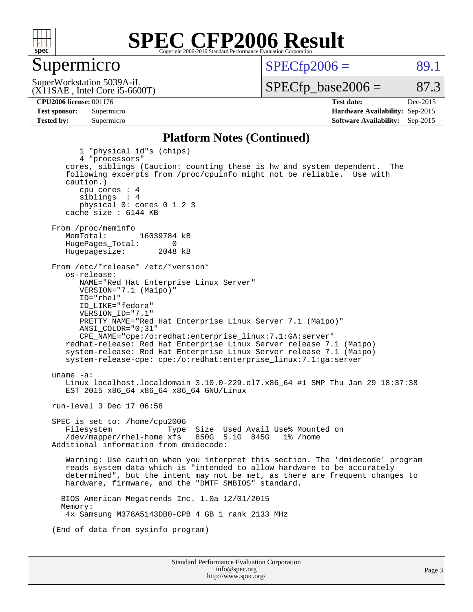

#### Supermicro

 $SPECTp2006 = 89.1$ 

(X11SAE , Intel Core i5-6600T) SuperWorkstation 5039A-iL

 $SPECTp\_base2006 = 87.3$ 

#### **[CPU2006 license:](http://www.spec.org/auto/cpu2006/Docs/result-fields.html#CPU2006license)** 001176 **[Test date:](http://www.spec.org/auto/cpu2006/Docs/result-fields.html#Testdate)** Dec-2015

**[Test sponsor:](http://www.spec.org/auto/cpu2006/Docs/result-fields.html#Testsponsor)** Supermicro **[Hardware Availability:](http://www.spec.org/auto/cpu2006/Docs/result-fields.html#HardwareAvailability)** Sep-2015 **[Tested by:](http://www.spec.org/auto/cpu2006/Docs/result-fields.html#Testedby)** Supermicro **[Software Availability:](http://www.spec.org/auto/cpu2006/Docs/result-fields.html#SoftwareAvailability)** Sep-2015

#### **[Platform Notes \(Continued\)](http://www.spec.org/auto/cpu2006/Docs/result-fields.html#PlatformNotes)**

Standard Performance Evaluation Corporation [info@spec.org](mailto:info@spec.org) 1 "physical id"s (chips) 4 "processors" cores, siblings (Caution: counting these is hw and system dependent. The following excerpts from /proc/cpuinfo might not be reliable. Use with caution.) cpu cores : 4 siblings : 4 physical 0: cores 0 1 2 3 cache size : 6144 KB From /proc/meminfo<br>MemTotal: 16039784 kB HugePages\_Total: 0<br>Hugepagesize: 2048 kB Hugepagesize: From /etc/\*release\* /etc/\*version\* os-release: NAME="Red Hat Enterprise Linux Server" VERSION="7.1 (Maipo)" ID="rhel" ID\_LIKE="fedora" VERSION\_ID="7.1" PRETTY\_NAME="Red Hat Enterprise Linux Server 7.1 (Maipo)" ANSI\_COLOR="0;31" CPE\_NAME="cpe:/o:redhat:enterprise\_linux:7.1:GA:server" redhat-release: Red Hat Enterprise Linux Server release 7.1 (Maipo) system-release: Red Hat Enterprise Linux Server release 7.1 (Maipo) system-release-cpe: cpe:/o:redhat:enterprise\_linux:7.1:ga:server uname -a: Linux localhost.localdomain 3.10.0-229.el7.x86\_64 #1 SMP Thu Jan 29 18:37:38 EST 2015 x86\_64 x86\_64 x86\_64 GNU/Linux run-level 3 Dec 17 06:58 SPEC is set to: /home/cpu2006 Filesystem Type Size Used Avail Use% Mounted on<br>
/dev/mapper/rhel-home xfs 850G 5.1G 845G 1% /home  $/$ dev/mapper/rhel-home  $x$ fs Additional information from dmidecode: Warning: Use caution when you interpret this section. The 'dmidecode' program reads system data which is "intended to allow hardware to be accurately determined", but the intent may not be met, as there are frequent changes to hardware, firmware, and the "DMTF SMBIOS" standard. BIOS American Megatrends Inc. 1.0a 12/01/2015 Memory: 4x Samsung M378A5143DB0-CPB 4 GB 1 rank 2133 MHz (End of data from sysinfo program)

<http://www.spec.org/>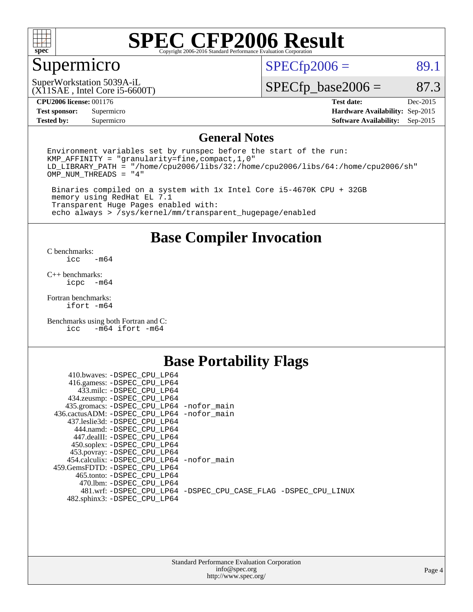

# Supermicro

 $SPECTp2006 = 89.1$ 

#### (X11SAE , Intel Core i5-6600T) SuperWorkstation 5039A-iL

 $SPECfp\_base2006 = 87.3$ 

#### **[CPU2006 license:](http://www.spec.org/auto/cpu2006/Docs/result-fields.html#CPU2006license)** 001176 **[Test date:](http://www.spec.org/auto/cpu2006/Docs/result-fields.html#Testdate)** Dec-2015

**[Test sponsor:](http://www.spec.org/auto/cpu2006/Docs/result-fields.html#Testsponsor)** Supermicro **[Hardware Availability:](http://www.spec.org/auto/cpu2006/Docs/result-fields.html#HardwareAvailability)** Sep-2015 **[Tested by:](http://www.spec.org/auto/cpu2006/Docs/result-fields.html#Testedby)** Supermicro **Supermicro [Software Availability:](http://www.spec.org/auto/cpu2006/Docs/result-fields.html#SoftwareAvailability)** Sep-2015

#### **[General Notes](http://www.spec.org/auto/cpu2006/Docs/result-fields.html#GeneralNotes)**

Environment variables set by runspec before the start of the run: KMP\_AFFINITY = "granularity=fine,compact,1,0" LD\_LIBRARY\_PATH = "/home/cpu2006/libs/32:/home/cpu2006/libs/64:/home/cpu2006/sh" OMP\_NUM\_THREADS = "4"

 Binaries compiled on a system with 1x Intel Core i5-4670K CPU + 32GB memory using RedHat EL 7.1 Transparent Huge Pages enabled with: echo always > /sys/kernel/mm/transparent\_hugepage/enabled

#### **[Base Compiler Invocation](http://www.spec.org/auto/cpu2006/Docs/result-fields.html#BaseCompilerInvocation)**

[C benchmarks](http://www.spec.org/auto/cpu2006/Docs/result-fields.html#Cbenchmarks):  $-m64$ 

[C++ benchmarks:](http://www.spec.org/auto/cpu2006/Docs/result-fields.html#CXXbenchmarks) [icpc -m64](http://www.spec.org/cpu2006/results/res2016q1/cpu2006-20151223-38506.flags.html#user_CXXbase_intel_icpc_64bit_bedb90c1146cab66620883ef4f41a67e)

[Fortran benchmarks](http://www.spec.org/auto/cpu2006/Docs/result-fields.html#Fortranbenchmarks): [ifort -m64](http://www.spec.org/cpu2006/results/res2016q1/cpu2006-20151223-38506.flags.html#user_FCbase_intel_ifort_64bit_ee9d0fb25645d0210d97eb0527dcc06e)

[Benchmarks using both Fortran and C](http://www.spec.org/auto/cpu2006/Docs/result-fields.html#BenchmarksusingbothFortranandC): [icc -m64](http://www.spec.org/cpu2006/results/res2016q1/cpu2006-20151223-38506.flags.html#user_CC_FCbase_intel_icc_64bit_0b7121f5ab7cfabee23d88897260401c) [ifort -m64](http://www.spec.org/cpu2006/results/res2016q1/cpu2006-20151223-38506.flags.html#user_CC_FCbase_intel_ifort_64bit_ee9d0fb25645d0210d97eb0527dcc06e)

## **[Base Portability Flags](http://www.spec.org/auto/cpu2006/Docs/result-fields.html#BasePortabilityFlags)**

| 410.bwaves: -DSPEC CPU LP64                 |                                                                |
|---------------------------------------------|----------------------------------------------------------------|
| 416.gamess: -DSPEC_CPU_LP64                 |                                                                |
| 433.milc: -DSPEC CPU LP64                   |                                                                |
| 434.zeusmp: -DSPEC_CPU_LP64                 |                                                                |
| 435.gromacs: -DSPEC_CPU_LP64 -nofor_main    |                                                                |
| 436.cactusADM: -DSPEC CPU LP64 -nofor main  |                                                                |
| 437.leslie3d: -DSPEC CPU LP64               |                                                                |
| 444.namd: -DSPEC CPU LP64                   |                                                                |
| 447.dealII: -DSPEC CPU LP64                 |                                                                |
| 450.soplex: -DSPEC_CPU_LP64                 |                                                                |
| 453.povray: -DSPEC_CPU_LP64                 |                                                                |
| 454.calculix: - DSPEC CPU LP64 - nofor main |                                                                |
| 459. GemsFDTD: - DSPEC CPU LP64             |                                                                |
| 465.tonto: - DSPEC CPU LP64                 |                                                                |
| 470.1bm: - DSPEC CPU LP64                   |                                                                |
|                                             | 481.wrf: -DSPEC_CPU_LP64 -DSPEC_CPU_CASE_FLAG -DSPEC_CPU_LINUX |
| 482.sphinx3: -DSPEC_CPU_LP64                |                                                                |
|                                             |                                                                |

| <b>Standard Performance Evaluation Corporation</b> |
|----------------------------------------------------|
| info@spec.org                                      |
| http://www.spec.org/                               |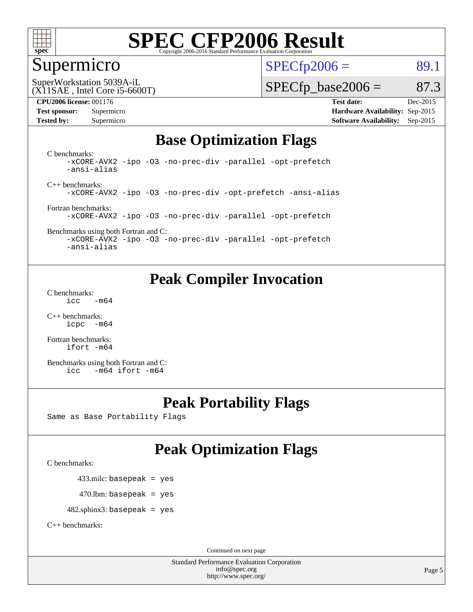

### Supermicro

 $SPECTp2006 = 89.1$ 

(X11SAE , Intel Core i5-6600T) SuperWorkstation 5039A-iL

 $SPECTp\_base2006 = 87.3$ 

**[CPU2006 license:](http://www.spec.org/auto/cpu2006/Docs/result-fields.html#CPU2006license)** 001176 **[Test date:](http://www.spec.org/auto/cpu2006/Docs/result-fields.html#Testdate)** Dec-2015 **[Test sponsor:](http://www.spec.org/auto/cpu2006/Docs/result-fields.html#Testsponsor)** Supermicro **[Hardware Availability:](http://www.spec.org/auto/cpu2006/Docs/result-fields.html#HardwareAvailability)** Sep-2015 **[Tested by:](http://www.spec.org/auto/cpu2006/Docs/result-fields.html#Testedby)** Supermicro **Supermicro [Software Availability:](http://www.spec.org/auto/cpu2006/Docs/result-fields.html#SoftwareAvailability)** Sep-2015

## **[Base Optimization Flags](http://www.spec.org/auto/cpu2006/Docs/result-fields.html#BaseOptimizationFlags)**

[C benchmarks](http://www.spec.org/auto/cpu2006/Docs/result-fields.html#Cbenchmarks): [-xCORE-AVX2](http://www.spec.org/cpu2006/results/res2016q1/cpu2006-20151223-38506.flags.html#user_CCbase_f-xAVX2_5f5fc0cbe2c9f62c816d3e45806c70d7) [-ipo](http://www.spec.org/cpu2006/results/res2016q1/cpu2006-20151223-38506.flags.html#user_CCbase_f-ipo) [-O3](http://www.spec.org/cpu2006/results/res2016q1/cpu2006-20151223-38506.flags.html#user_CCbase_f-O3) [-no-prec-div](http://www.spec.org/cpu2006/results/res2016q1/cpu2006-20151223-38506.flags.html#user_CCbase_f-no-prec-div) [-parallel](http://www.spec.org/cpu2006/results/res2016q1/cpu2006-20151223-38506.flags.html#user_CCbase_f-parallel) [-opt-prefetch](http://www.spec.org/cpu2006/results/res2016q1/cpu2006-20151223-38506.flags.html#user_CCbase_f-opt-prefetch) [-ansi-alias](http://www.spec.org/cpu2006/results/res2016q1/cpu2006-20151223-38506.flags.html#user_CCbase_f-ansi-alias)

[C++ benchmarks:](http://www.spec.org/auto/cpu2006/Docs/result-fields.html#CXXbenchmarks) [-xCORE-AVX2](http://www.spec.org/cpu2006/results/res2016q1/cpu2006-20151223-38506.flags.html#user_CXXbase_f-xAVX2_5f5fc0cbe2c9f62c816d3e45806c70d7) [-ipo](http://www.spec.org/cpu2006/results/res2016q1/cpu2006-20151223-38506.flags.html#user_CXXbase_f-ipo) [-O3](http://www.spec.org/cpu2006/results/res2016q1/cpu2006-20151223-38506.flags.html#user_CXXbase_f-O3) [-no-prec-div](http://www.spec.org/cpu2006/results/res2016q1/cpu2006-20151223-38506.flags.html#user_CXXbase_f-no-prec-div) [-opt-prefetch](http://www.spec.org/cpu2006/results/res2016q1/cpu2006-20151223-38506.flags.html#user_CXXbase_f-opt-prefetch) [-ansi-alias](http://www.spec.org/cpu2006/results/res2016q1/cpu2006-20151223-38506.flags.html#user_CXXbase_f-ansi-alias)

[Fortran benchmarks](http://www.spec.org/auto/cpu2006/Docs/result-fields.html#Fortranbenchmarks): [-xCORE-AVX2](http://www.spec.org/cpu2006/results/res2016q1/cpu2006-20151223-38506.flags.html#user_FCbase_f-xAVX2_5f5fc0cbe2c9f62c816d3e45806c70d7) [-ipo](http://www.spec.org/cpu2006/results/res2016q1/cpu2006-20151223-38506.flags.html#user_FCbase_f-ipo) [-O3](http://www.spec.org/cpu2006/results/res2016q1/cpu2006-20151223-38506.flags.html#user_FCbase_f-O3) [-no-prec-div](http://www.spec.org/cpu2006/results/res2016q1/cpu2006-20151223-38506.flags.html#user_FCbase_f-no-prec-div) [-parallel](http://www.spec.org/cpu2006/results/res2016q1/cpu2006-20151223-38506.flags.html#user_FCbase_f-parallel) [-opt-prefetch](http://www.spec.org/cpu2006/results/res2016q1/cpu2006-20151223-38506.flags.html#user_FCbase_f-opt-prefetch)

[Benchmarks using both Fortran and C](http://www.spec.org/auto/cpu2006/Docs/result-fields.html#BenchmarksusingbothFortranandC): [-xCORE-AVX2](http://www.spec.org/cpu2006/results/res2016q1/cpu2006-20151223-38506.flags.html#user_CC_FCbase_f-xAVX2_5f5fc0cbe2c9f62c816d3e45806c70d7) [-ipo](http://www.spec.org/cpu2006/results/res2016q1/cpu2006-20151223-38506.flags.html#user_CC_FCbase_f-ipo) [-O3](http://www.spec.org/cpu2006/results/res2016q1/cpu2006-20151223-38506.flags.html#user_CC_FCbase_f-O3) [-no-prec-div](http://www.spec.org/cpu2006/results/res2016q1/cpu2006-20151223-38506.flags.html#user_CC_FCbase_f-no-prec-div) [-parallel](http://www.spec.org/cpu2006/results/res2016q1/cpu2006-20151223-38506.flags.html#user_CC_FCbase_f-parallel) [-opt-prefetch](http://www.spec.org/cpu2006/results/res2016q1/cpu2006-20151223-38506.flags.html#user_CC_FCbase_f-opt-prefetch)

[-ansi-alias](http://www.spec.org/cpu2006/results/res2016q1/cpu2006-20151223-38506.flags.html#user_CC_FCbase_f-ansi-alias)

## **[Peak Compiler Invocation](http://www.spec.org/auto/cpu2006/Docs/result-fields.html#PeakCompilerInvocation)**

[C benchmarks](http://www.spec.org/auto/cpu2006/Docs/result-fields.html#Cbenchmarks):  $\text{icc}$   $-\text{m64}$ 

[C++ benchmarks:](http://www.spec.org/auto/cpu2006/Docs/result-fields.html#CXXbenchmarks) [icpc -m64](http://www.spec.org/cpu2006/results/res2016q1/cpu2006-20151223-38506.flags.html#user_CXXpeak_intel_icpc_64bit_bedb90c1146cab66620883ef4f41a67e)

[Fortran benchmarks](http://www.spec.org/auto/cpu2006/Docs/result-fields.html#Fortranbenchmarks): [ifort -m64](http://www.spec.org/cpu2006/results/res2016q1/cpu2006-20151223-38506.flags.html#user_FCpeak_intel_ifort_64bit_ee9d0fb25645d0210d97eb0527dcc06e)

[Benchmarks using both Fortran and C](http://www.spec.org/auto/cpu2006/Docs/result-fields.html#BenchmarksusingbothFortranandC): [icc -m64](http://www.spec.org/cpu2006/results/res2016q1/cpu2006-20151223-38506.flags.html#user_CC_FCpeak_intel_icc_64bit_0b7121f5ab7cfabee23d88897260401c) [ifort -m64](http://www.spec.org/cpu2006/results/res2016q1/cpu2006-20151223-38506.flags.html#user_CC_FCpeak_intel_ifort_64bit_ee9d0fb25645d0210d97eb0527dcc06e)

## **[Peak Portability Flags](http://www.spec.org/auto/cpu2006/Docs/result-fields.html#PeakPortabilityFlags)**

Same as Base Portability Flags

## **[Peak Optimization Flags](http://www.spec.org/auto/cpu2006/Docs/result-fields.html#PeakOptimizationFlags)**

[C benchmarks](http://www.spec.org/auto/cpu2006/Docs/result-fields.html#Cbenchmarks):

433.milc: basepeak = yes

 $470.$ lbm: basepeak = yes

482.sphinx3: basepeak = yes

[C++ benchmarks:](http://www.spec.org/auto/cpu2006/Docs/result-fields.html#CXXbenchmarks)

Continued on next page

Standard Performance Evaluation Corporation [info@spec.org](mailto:info@spec.org) <http://www.spec.org/>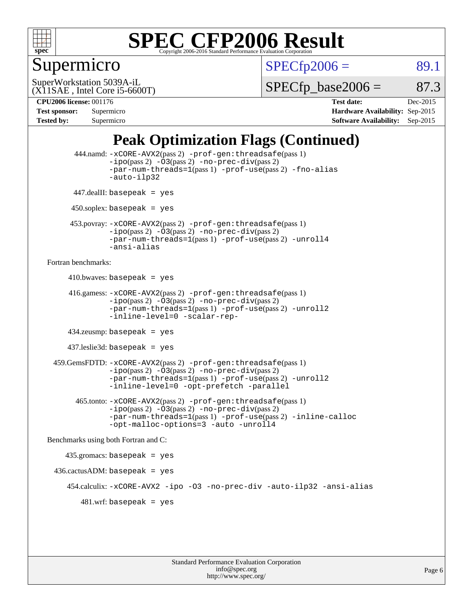

## Supermicro

 $SPECTp2006 = 89.1$ 

(X11SAE , Intel Core i5-6600T) SuperWorkstation 5039A-iL

 $SPECTp\_base2006 = 87.3$ 

**[CPU2006 license:](http://www.spec.org/auto/cpu2006/Docs/result-fields.html#CPU2006license)** 001176 **[Test date:](http://www.spec.org/auto/cpu2006/Docs/result-fields.html#Testdate)** Dec-2015 **[Test sponsor:](http://www.spec.org/auto/cpu2006/Docs/result-fields.html#Testsponsor)** Supermicro **[Hardware Availability:](http://www.spec.org/auto/cpu2006/Docs/result-fields.html#HardwareAvailability)** Sep-2015 **[Tested by:](http://www.spec.org/auto/cpu2006/Docs/result-fields.html#Testedby)** Supermicro **Supermicro [Software Availability:](http://www.spec.org/auto/cpu2006/Docs/result-fields.html#SoftwareAvailability)** Sep-2015

## **[Peak Optimization Flags \(Continued\)](http://www.spec.org/auto/cpu2006/Docs/result-fields.html#PeakOptimizationFlags)**

```
 444.namd: -xCORE-AVX2(pass 2) -prof-gen:threadsafe(pass 1)
               -ipo(pass 2) -03(pass 2) -no-prec-div(pass 2)
               -par-num-threads=1(pass 1) -prof-use(pass 2) -fno-alias
               -auto-ilp32
      447.dealII: basepeak = yes
      450.soplex: basepeak = yes
      453.povray: -xCORE-AVX2(pass 2) -prof-gen:threadsafe(pass 1)
               -no-prec-div(pass 2)-par-num-threads=1(pass 1) -prof-use(pass 2) -unroll4
               -ansi-alias
Fortran benchmarks: 
     410.bwaves: basepeak = yes 416.gamess: -xCORE-AVX2(pass 2) -prof-gen:threadsafe(pass 1)
               -ipo(pass 2) -03(pass 2) -no-prec-div(pass 2)-par-num-threads=1(pass 1) -prof-use(pass 2) -unroll2
               -inline-level=0 -scalar-rep-
      434.zeusmp: basepeak = yes
     437.leslie3d: basepeak = yes
  459.GemsFDTD: -xCORE-AVX2(pass 2) -prof-gen:threadsafe(pass 1)
               -i\text{po}(pass 2) -\tilde{O}3(pass 2)-no-prec-div(pass 2)
               -par-num-threads=1(pass 1) -prof-use(pass 2) -unroll2
               -inline-level=0 -opt-prefetch -parallel
        465.tonto: -xCORE-AVX2(pass 2) -prof-gen:threadsafe(pass 1)
               -no-prec-div(pass 2)-par-num-threads=1(pass 1) -prof-use(pass 2) -inline-calloc
               -opt-malloc-options=3 -auto -unroll4
Benchmarks using both Fortran and C: 
     435.gromacs: basepeak = yes
 436.cactusADM:basepeak = yes 454.calculix: -xCORE-AVX2 -ipo -O3 -no-prec-div -auto-ilp32 -ansi-alias
        481.wrf: basepeak = yes
```